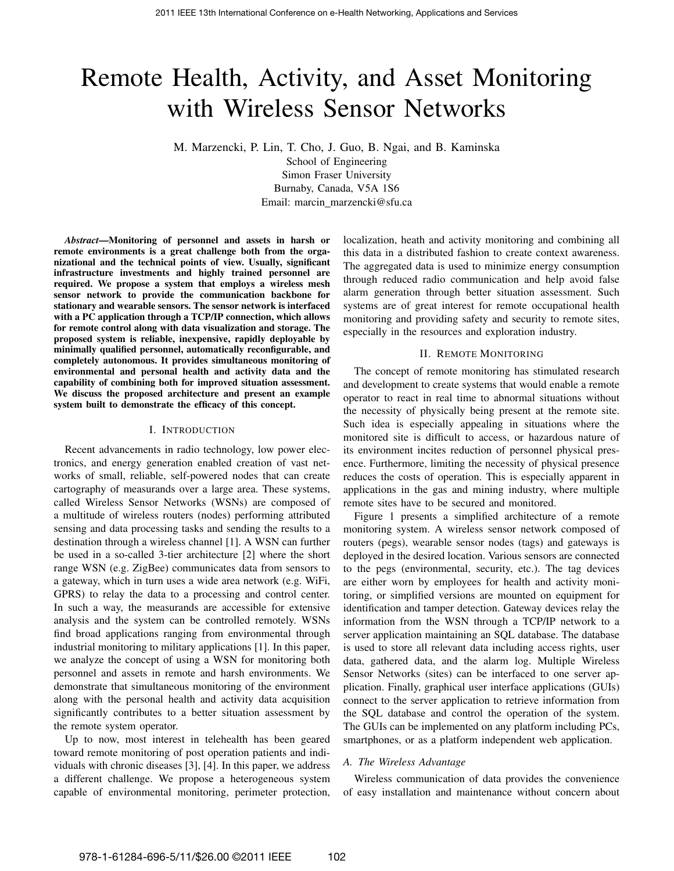# Remote Health, Activity, and Asset Monitoring with Wireless Sensor Networks

M. Marzencki, P. Lin, T. Cho, J. Guo, B. Ngai, and B. Kaminska

School of Engineering Simon Fraser University Burnaby, Canada, V5A 1S6 Email: marcin\_marzencki@sfu.ca

*Abstract*—Monitoring of personnel and assets in harsh or remote environments is a great challenge both from the organizational and the technical points of view. Usually, significant infrastructure investments and highly trained personnel are required. We propose a system that employs a wireless mesh sensor network to provide the communication backbone for stationary and wearable sensors. The sensor network is interfaced with a PC application through a TCP/IP connection, which allows for remote control along with data visualization and storage. The proposed system is reliable, inexpensive, rapidly deployable by minimally qualified personnel, automatically reconfigurable, and completely autonomous. It provides simultaneous monitoring of environmental and personal health and activity data and the capability of combining both for improved situation assessment. We discuss the proposed architecture and present an example system built to demonstrate the efficacy of this concept.

## I. INTRODUCTION

Recent advancements in radio technology, low power electronics, and energy generation enabled creation of vast networks of small, reliable, self-powered nodes that can create cartography of measurands over a large area. These systems, called Wireless Sensor Networks (WSNs) are composed of a multitude of wireless routers (nodes) performing attributed sensing and data processing tasks and sending the results to a destination through a wireless channel [1]. A WSN can further be used in a so-called 3-tier architecture [2] where the short range WSN (e.g. ZigBee) communicates data from sensors to a gateway, which in turn uses a wide area network (e.g. WiFi, GPRS) to relay the data to a processing and control center. In such a way, the measurands are accessible for extensive analysis and the system can be controlled remotely. WSNs find broad applications ranging from environmental through industrial monitoring to military applications [1]. In this paper, we analyze the concept of using a WSN for monitoring both personnel and assets in remote and harsh environments. We demonstrate that simultaneous monitoring of the environment along with the personal health and activity data acquisition significantly contributes to a better situation assessment by the remote system operator.

Up to now, most interest in telehealth has been geared toward remote monitoring of post operation patients and individuals with chronic diseases [3], [4]. In this paper, we address a different challenge. We propose a heterogeneous system capable of environmental monitoring, perimeter protection, localization, heath and activity monitoring and combining all this data in a distributed fashion to create context awareness. The aggregated data is used to minimize energy consumption through reduced radio communication and help avoid false alarm generation through better situation assessment. Such systems are of great interest for remote occupational health monitoring and providing safety and security to remote sites, especially in the resources and exploration industry.

#### II. REMOTE MONITORING

The concept of remote monitoring has stimulated research and development to create systems that would enable a remote operator to react in real time to abnormal situations without the necessity of physically being present at the remote site. Such idea is especially appealing in situations where the monitored site is difficult to access, or hazardous nature of its environment incites reduction of personnel physical presence. Furthermore, limiting the necessity of physical presence reduces the costs of operation. This is especially apparent in applications in the gas and mining industry, where multiple remote sites have to be secured and monitored.

Figure 1 presents a simplified architecture of a remote monitoring system. A wireless sensor network composed of routers (pegs), wearable sensor nodes (tags) and gateways is deployed in the desired location. Various sensors are connected to the pegs (environmental, security, etc.). The tag devices are either worn by employees for health and activity monitoring, or simplified versions are mounted on equipment for identification and tamper detection. Gateway devices relay the information from the WSN through a TCP/IP network to a server application maintaining an SQL database. The database is used to store all relevant data including access rights, user data, gathered data, and the alarm log. Multiple Wireless Sensor Networks (sites) can be interfaced to one server application. Finally, graphical user interface applications (GUIs) connect to the server application to retrieve information from the SQL database and control the operation of the system. The GUIs can be implemented on any platform including PCs, smartphones, or as a platform independent web application.

# *A. The Wireless Advantage*

Wireless communication of data provides the convenience of easy installation and maintenance without concern about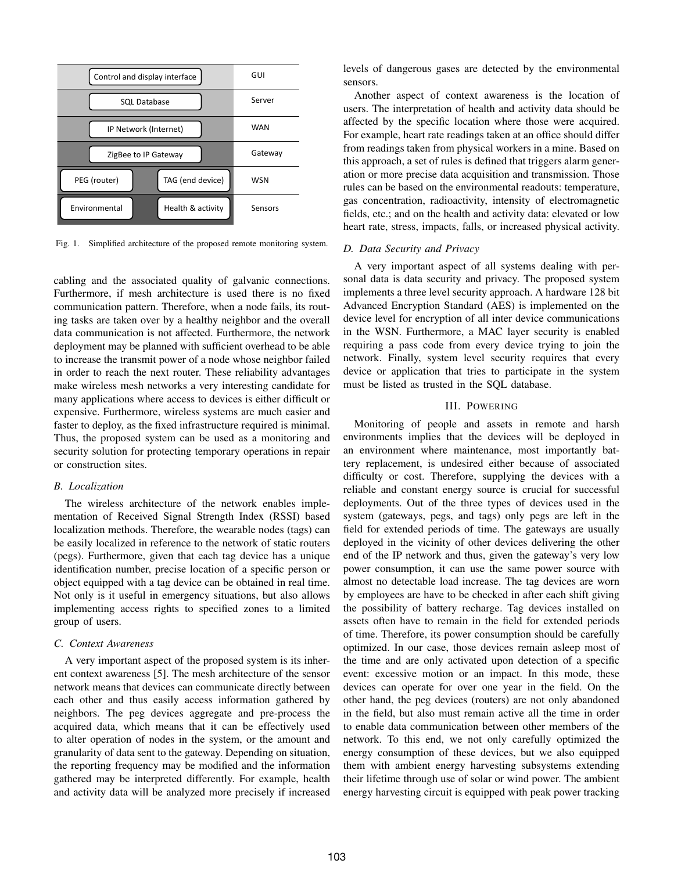

Fig. 1. Simplified architecture of the proposed remote monitoring system.

cabling and the associated quality of galvanic connections. Furthermore, if mesh architecture is used there is no fixed communication pattern. Therefore, when a node fails, its routing tasks are taken over by a healthy neighbor and the overall data communication is not affected. Furthermore, the network deployment may be planned with sufficient overhead to be able to increase the transmit power of a node whose neighbor failed in order to reach the next router. These reliability advantages make wireless mesh networks a very interesting candidate for many applications where access to devices is either difficult or expensive. Furthermore, wireless systems are much easier and faster to deploy, as the fixed infrastructure required is minimal. Thus, the proposed system can be used as a monitoring and security solution for protecting temporary operations in repair or construction sites.

## *B. Localization*

The wireless architecture of the network enables implementation of Received Signal Strength Index (RSSI) based localization methods. Therefore, the wearable nodes (tags) can be easily localized in reference to the network of static routers (pegs). Furthermore, given that each tag device has a unique identification number, precise location of a specific person or object equipped with a tag device can be obtained in real time. Not only is it useful in emergency situations, but also allows implementing access rights to specified zones to a limited group of users.

## *C. Context Awareness*

A very important aspect of the proposed system is its inherent context awareness [5]. The mesh architecture of the sensor network means that devices can communicate directly between each other and thus easily access information gathered by neighbors. The peg devices aggregate and pre-process the acquired data, which means that it can be effectively used to alter operation of nodes in the system, or the amount and granularity of data sent to the gateway. Depending on situation, the reporting frequency may be modified and the information gathered may be interpreted differently. For example, health and activity data will be analyzed more precisely if increased levels of dangerous gases are detected by the environmental sensors.

Another aspect of context awareness is the location of users. The interpretation of health and activity data should be affected by the specific location where those were acquired. For example, heart rate readings taken at an office should differ from readings taken from physical workers in a mine. Based on this approach, a set of rules is defined that triggers alarm generation or more precise data acquisition and transmission. Those rules can be based on the environmental readouts: temperature, gas concentration, radioactivity, intensity of electromagnetic fields, etc.; and on the health and activity data: elevated or low heart rate, stress, impacts, falls, or increased physical activity.

## *D. Data Security and Privacy*

A very important aspect of all systems dealing with personal data is data security and privacy. The proposed system implements a three level security approach. A hardware 128 bit Advanced Encryption Standard (AES) is implemented on the device level for encryption of all inter device communications in the WSN. Furthermore, a MAC layer security is enabled requiring a pass code from every device trying to join the network. Finally, system level security requires that every device or application that tries to participate in the system must be listed as trusted in the SQL database.

## III. POWERING

Monitoring of people and assets in remote and harsh environments implies that the devices will be deployed in an environment where maintenance, most importantly battery replacement, is undesired either because of associated difficulty or cost. Therefore, supplying the devices with a reliable and constant energy source is crucial for successful deployments. Out of the three types of devices used in the system (gateways, pegs, and tags) only pegs are left in the field for extended periods of time. The gateways are usually deployed in the vicinity of other devices delivering the other end of the IP network and thus, given the gateway's very low power consumption, it can use the same power source with almost no detectable load increase. The tag devices are worn by employees are have to be checked in after each shift giving the possibility of battery recharge. Tag devices installed on assets often have to remain in the field for extended periods of time. Therefore, its power consumption should be carefully optimized. In our case, those devices remain asleep most of the time and are only activated upon detection of a specific event: excessive motion or an impact. In this mode, these devices can operate for over one year in the field. On the other hand, the peg devices (routers) are not only abandoned in the field, but also must remain active all the time in order to enable data communication between other members of the network. To this end, we not only carefully optimized the energy consumption of these devices, but we also equipped them with ambient energy harvesting subsystems extending their lifetime through use of solar or wind power. The ambient energy harvesting circuit is equipped with peak power tracking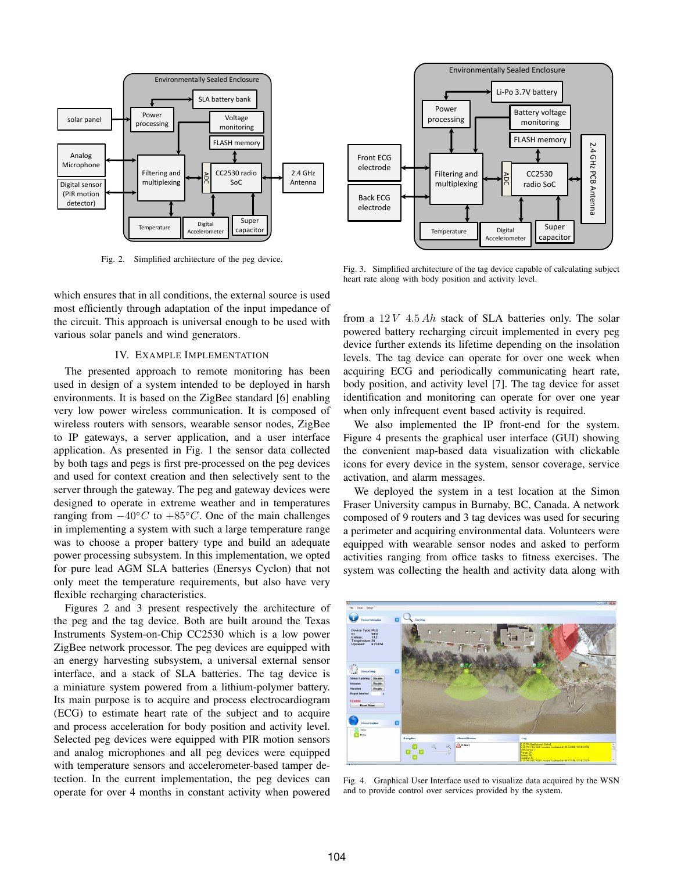

Fig. 2. Simplified architecture of the peg device.

which ensures that in all conditions, the external source is used most efficiently through adaptation of the input impedance of the circuit. This approach is universal enough to be used with various solar panels and wind generators.

## IV. EXAMPLE IMPLEMENTATION

The presented approach to remote monitoring has been used in design of a system intended to be deployed in harsh environments. It is based on the ZigBee standard [6] enabling very low power wireless communication. It is composed of wireless routers with sensors, wearable sensor nodes, ZigBee to IP gateways, a server application, and a user interface application. As presented in Fig. 1 the sensor data collected by both tags and pegs is first pre-processed on the peg devices and used for context creation and then selectively sent to the server through the gateway. The peg and gateway devices were designed to operate in extreme weather and in temperatures ranging from  $-40\degree C$  to  $+85\degree C$ . One of the main challenges in implementing a system with such a large temperature range was to choose a proper battery type and build an adequate power processing subsystem. In this implementation, we opted for pure lead AGM SLA batteries (Enersys Cyclon) that not only meet the temperature requirements, but also have very flexible recharging characteristics.

Figures 2 and 3 present respectively the architecture of the peg and the tag device. Both are built around the Texas Instruments System-on-Chip CC2530 which is a low power ZigBee network processor. The peg devices are equipped with an energy harvesting subsystem, a universal external sensor interface, and a stack of SLA batteries. The tag device is a miniature system powered from a lithium-polymer battery. Its main purpose is to acquire and process electrocardiogram (ECG) to estimate heart rate of the subject and to acquire and process acceleration for body position and activity level. Selected peg devices were equipped with PIR motion sensors and analog microphones and all peg devices were equipped with temperature sensors and accelerometer-based tamper detection. In the current implementation, the peg devices can operate for over 4 months in constant activity when powered



Fig. 3. Simplified architecture of the tag device capable of calculating subject heart rate along with body position and activity level.

from a  $12V$  4.5 Ah stack of SLA batteries only. The solar powered battery recharging circuit implemented in every peg device further extends its lifetime depending on the insolation levels. The tag device can operate for over one week when acquiring ECG and periodically communicating heart rate, body position, and activity level [7]. The tag device for asset identification and monitoring can operate for over one year when only infrequent event based activity is required.

We also implemented the IP front-end for the system. Figure 4 presents the graphical user interface (GUI) showing the convenient map-based data visualization with clickable icons for every device in the system, sensor coverage, service activation, and alarm messages.

We deployed the system in a test location at the Simon Fraser University campus in Burnaby, BC, Canada. A network composed of 9 routers and 3 tag devices was used for securing a perimeter and acquiring environmental data. Volunteers were equipped with wearable sensor nodes and asked to perform activities ranging from office tasks to fitness exercises. The system was collecting the health and activity data along with



Fig. 4. Graphical User Interface used to visualize data acquired by the WSN and to provide control over services provided by the system.